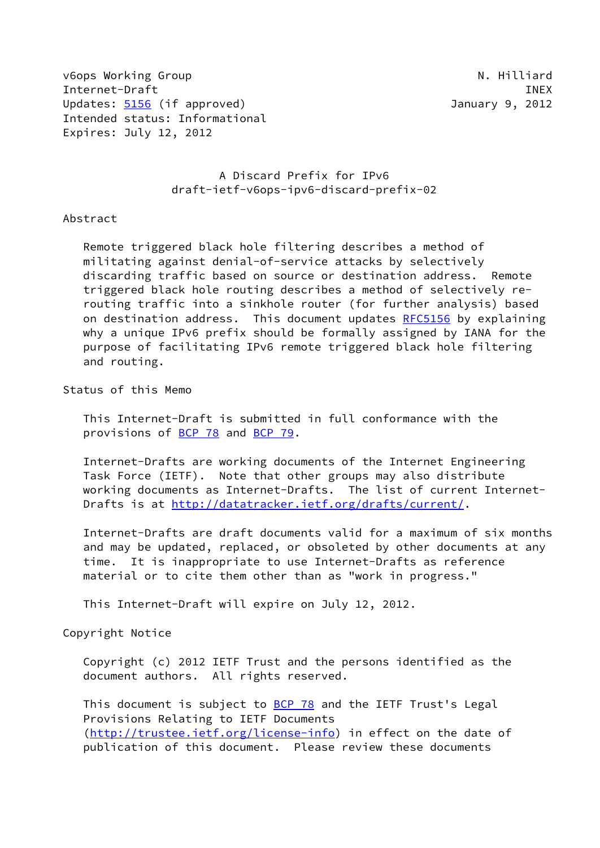v6ops Working Group National Communication of the United States of the United States of the United States of the U Internet-Draft INEX Updates: [5156](https://datatracker.ietf.org/doc/pdf/rfc5156) (if approved) and the Updates: 5156 (if approved) and the Updates: 5156 (if approved) Intended status: Informational Expires: July 12, 2012

# A Discard Prefix for IPv6 draft-ietf-v6ops-ipv6-discard-prefix-02

### Abstract

 Remote triggered black hole filtering describes a method of militating against denial-of-service attacks by selectively discarding traffic based on source or destination address. Remote triggered black hole routing describes a method of selectively re routing traffic into a sinkhole router (for further analysis) based on destination address. This document updates [RFC5156](https://datatracker.ietf.org/doc/pdf/rfc5156) by explaining why a unique IPv6 prefix should be formally assigned by IANA for the purpose of facilitating IPv6 remote triggered black hole filtering and routing.

Status of this Memo

 This Internet-Draft is submitted in full conformance with the provisions of [BCP 78](https://datatracker.ietf.org/doc/pdf/bcp78) and [BCP 79](https://datatracker.ietf.org/doc/pdf/bcp79).

 Internet-Drafts are working documents of the Internet Engineering Task Force (IETF). Note that other groups may also distribute working documents as Internet-Drafts. The list of current Internet- Drafts is at<http://datatracker.ietf.org/drafts/current/>.

 Internet-Drafts are draft documents valid for a maximum of six months and may be updated, replaced, or obsoleted by other documents at any time. It is inappropriate to use Internet-Drafts as reference material or to cite them other than as "work in progress."

This Internet-Draft will expire on July 12, 2012.

Copyright Notice

 Copyright (c) 2012 IETF Trust and the persons identified as the document authors. All rights reserved.

This document is subject to **[BCP 78](https://datatracker.ietf.org/doc/pdf/bcp78)** and the IETF Trust's Legal Provisions Relating to IETF Documents [\(http://trustee.ietf.org/license-info](http://trustee.ietf.org/license-info)) in effect on the date of publication of this document. Please review these documents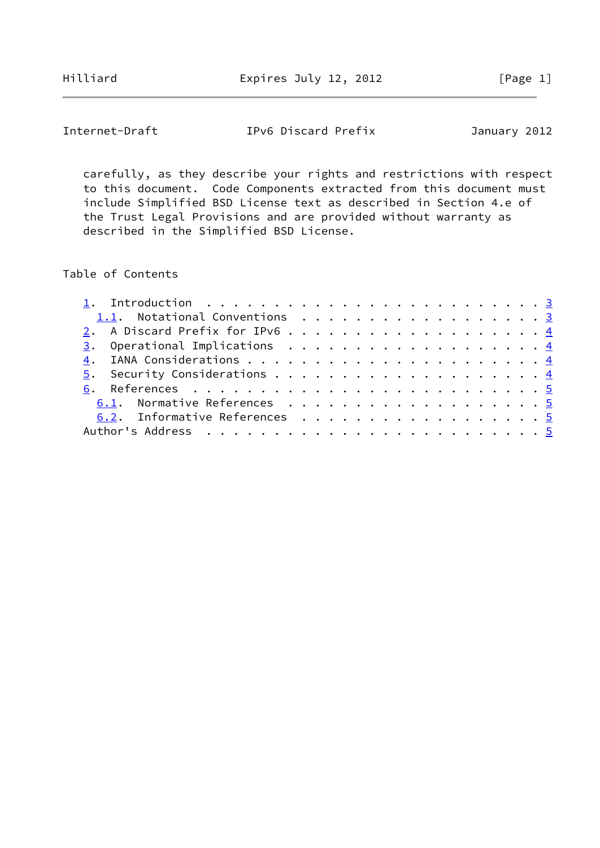Hilliard **Expires July 12, 2012** [Page 1]

Internet-Draft IPv6 Discard Prefix January 2012

 carefully, as they describe your rights and restrictions with respect to this document. Code Components extracted from this document must include Simplified BSD License text as described in Section 4.e of the Trust Legal Provisions and are provided without warranty as described in the Simplified BSD License.

#### Table of Contents

| 1.1. Notational Conventions 3  |  |
|--------------------------------|--|
| 2. A Discard Prefix for IPv6 4 |  |
|                                |  |
|                                |  |
|                                |  |
|                                |  |
| 6.1. Normative References 5    |  |
| 6.2. Informative References 5  |  |
|                                |  |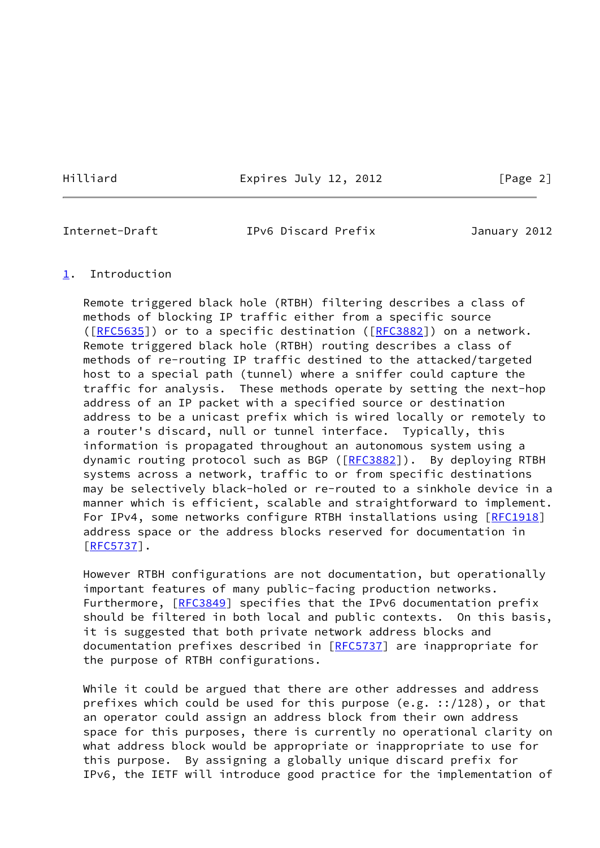Hilliard **Expires July 12, 2012** [Page 2]

<span id="page-2-1"></span>

Internet-Draft IPv6 Discard Prefix January 2012

### <span id="page-2-0"></span>[1](#page-2-0). Introduction

 Remote triggered black hole (RTBH) filtering describes a class of methods of blocking IP traffic either from a specific source ([\[RFC5635](https://datatracker.ietf.org/doc/pdf/rfc5635)]) or to a specific destination ([[RFC3882](https://datatracker.ietf.org/doc/pdf/rfc3882)]) on a network. Remote triggered black hole (RTBH) routing describes a class of methods of re-routing IP traffic destined to the attacked/targeted host to a special path (tunnel) where a sniffer could capture the traffic for analysis. These methods operate by setting the next-hop address of an IP packet with a specified source or destination address to be a unicast prefix which is wired locally or remotely to a router's discard, null or tunnel interface. Typically, this information is propagated throughout an autonomous system using a dynamic routing protocol such as BGP ([[RFC3882](https://datatracker.ietf.org/doc/pdf/rfc3882)]). By deploying RTBH systems across a network, traffic to or from specific destinations may be selectively black-holed or re-routed to a sinkhole device in a manner which is efficient, scalable and straightforward to implement. For IPv4, some networks configure RTBH installations using [[RFC1918\]](https://datatracker.ietf.org/doc/pdf/rfc1918) address space or the address blocks reserved for documentation in [\[RFC5737](https://datatracker.ietf.org/doc/pdf/rfc5737)].

 However RTBH configurations are not documentation, but operationally important features of many public-facing production networks. Furthermore, [\[RFC3849](https://datatracker.ietf.org/doc/pdf/rfc3849)] specifies that the IPv6 documentation prefix should be filtered in both local and public contexts. On this basis, it is suggested that both private network address blocks and documentation prefixes described in [\[RFC5737](https://datatracker.ietf.org/doc/pdf/rfc5737)] are inappropriate for the purpose of RTBH configurations.

While it could be argued that there are other addresses and address prefixes which could be used for this purpose (e.g. ::/128), or that an operator could assign an address block from their own address space for this purposes, there is currently no operational clarity on what address block would be appropriate or inappropriate to use for this purpose. By assigning a globally unique discard prefix for IPv6, the IETF will introduce good practice for the implementation of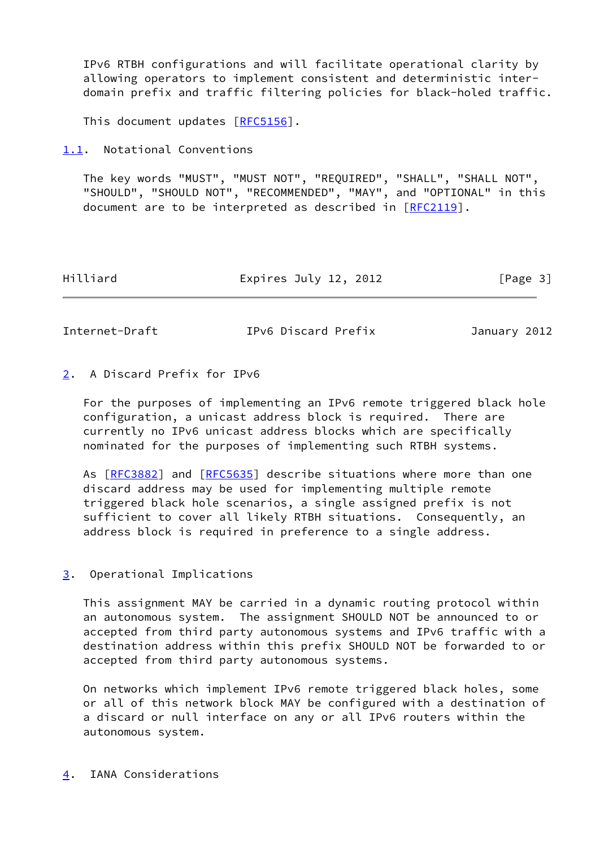IPv6 RTBH configurations and will facilitate operational clarity by allowing operators to implement consistent and deterministic inter domain prefix and traffic filtering policies for black-holed traffic.

This document updates [[RFC5156](https://datatracker.ietf.org/doc/pdf/rfc5156)].

<span id="page-3-0"></span>[1.1](#page-3-0). Notational Conventions

 The key words "MUST", "MUST NOT", "REQUIRED", "SHALL", "SHALL NOT", "SHOULD", "SHOULD NOT", "RECOMMENDED", "MAY", and "OPTIONAL" in this document are to be interpreted as described in [\[RFC2119](https://datatracker.ietf.org/doc/pdf/rfc2119)].

| Hilliard<br>Expires July 12, 2012 | [Page 3] |
|-----------------------------------|----------|
|-----------------------------------|----------|

<span id="page-3-2"></span>Internet-Draft IPv6 Discard Prefix January 2012

## <span id="page-3-1"></span>[2](#page-3-1). A Discard Prefix for IPv6

 For the purposes of implementing an IPv6 remote triggered black hole configuration, a unicast address block is required. There are currently no IPv6 unicast address blocks which are specifically nominated for the purposes of implementing such RTBH systems.

 As [[RFC3882\]](https://datatracker.ietf.org/doc/pdf/rfc3882) and [\[RFC5635](https://datatracker.ietf.org/doc/pdf/rfc5635)] describe situations where more than one discard address may be used for implementing multiple remote triggered black hole scenarios, a single assigned prefix is not sufficient to cover all likely RTBH situations. Consequently, an address block is required in preference to a single address.

### <span id="page-3-3"></span>[3](#page-3-3). Operational Implications

 This assignment MAY be carried in a dynamic routing protocol within an autonomous system. The assignment SHOULD NOT be announced to or accepted from third party autonomous systems and IPv6 traffic with a destination address within this prefix SHOULD NOT be forwarded to or accepted from third party autonomous systems.

 On networks which implement IPv6 remote triggered black holes, some or all of this network block MAY be configured with a destination of a discard or null interface on any or all IPv6 routers within the autonomous system.

<span id="page-3-4"></span>[4](#page-3-4). IANA Considerations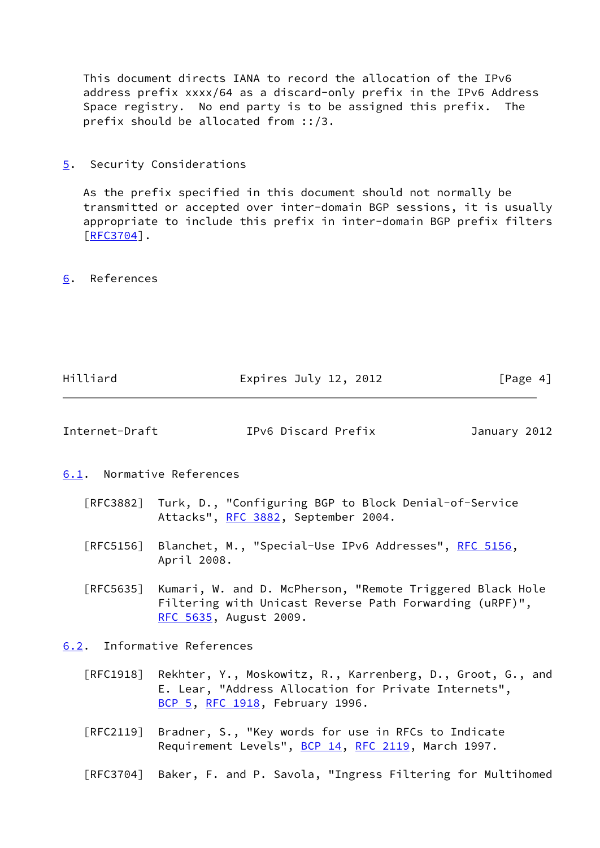This document directs IANA to record the allocation of the IPv6 address prefix xxxx/64 as a discard-only prefix in the IPv6 Address Space registry. No end party is to be assigned this prefix. The prefix should be allocated from ::/3.

<span id="page-4-0"></span>[5](#page-4-0). Security Considerations

 As the prefix specified in this document should not normally be transmitted or accepted over inter-domain BGP sessions, it is usually appropriate to include this prefix in inter-domain BGP prefix filters [\[RFC3704](https://datatracker.ietf.org/doc/pdf/rfc3704)].

<span id="page-4-1"></span>[6](#page-4-1). References

<span id="page-4-3"></span><span id="page-4-2"></span>

| Hilliard                    | Expires July 12, 2012                                                                                                                                           | [Page 4]     |  |  |
|-----------------------------|-----------------------------------------------------------------------------------------------------------------------------------------------------------------|--------------|--|--|
| Internet-Draft              | IPv6 Discard Prefix                                                                                                                                             | January 2012 |  |  |
| 6.1. Normative References   |                                                                                                                                                                 |              |  |  |
|                             | [RFC3882] Turk, D., "Configuring BGP to Block Denial-of-Service<br>Attacks", RFC 3882, September 2004.                                                          |              |  |  |
|                             | [RFC5156] Blanchet, M., "Special-Use IPv6 Addresses", RFC 5156,<br>April 2008.                                                                                  |              |  |  |
| $\lceil$ RFC5635 $\rceil$   | Kumari, W. and D. McPherson, "Remote Triggered Black Hole<br>Filtering with Unicast Reverse Path Forwarding (uRPF)",<br>RFC 5635, August 2009.                  |              |  |  |
| 6.2. Informative References |                                                                                                                                                                 |              |  |  |
|                             | [RFC1918] Rekhter, Y., Moskowitz, R., Karrenberg, D., Groot, G., and<br>E. Lear, "Address Allocation for Private Internets",<br>BCP 5, RFC 1918, February 1996. |              |  |  |

- <span id="page-4-4"></span> [RFC2119] Bradner, S., "Key words for use in RFCs to Indicate Requirement Levels", [BCP 14](https://datatracker.ietf.org/doc/pdf/bcp14), [RFC 2119](https://datatracker.ietf.org/doc/pdf/rfc2119), March 1997.
- [RFC3704] Baker, F. and P. Savola, "Ingress Filtering for Multihomed